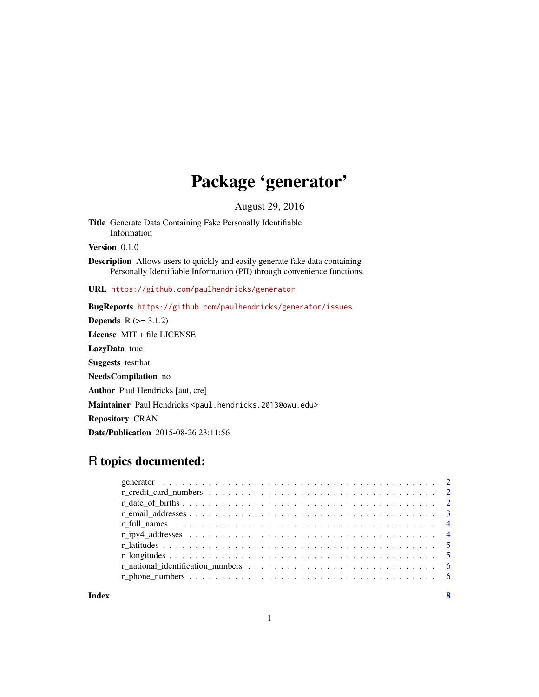## Package 'generator'

August 29, 2016

Title Generate Data Containing Fake Personally Identifiable Information

Version 0.1.0

Description Allows users to quickly and easily generate fake data containing Personally Identifiable Information (PII) through convenience functions.

URL <https://github.com/paulhendricks/generator>

BugReports <https://github.com/paulhendricks/generator/issues>

**Depends**  $R$  ( $>= 3.1.2$ ) License MIT + file LICENSE LazyData true Suggests testthat NeedsCompilation no Author Paul Hendricks [aut, cre] Maintainer Paul Hendricks <paul.hendricks.2013@owu.edu> Repository CRAN Date/Publication 2015-08-26 23:11:56

### R topics documented:

**Index** [8](#page-7-0) **8**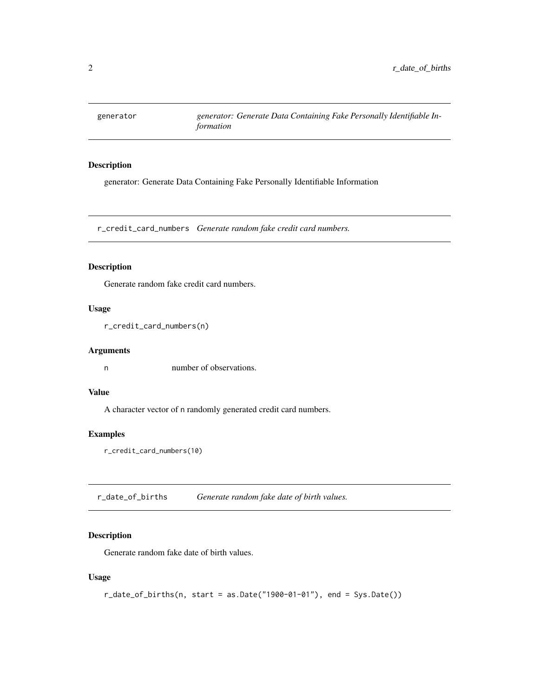<span id="page-1-0"></span>generator *generator: Generate Data Containing Fake Personally Identifiable Information*

#### Description

generator: Generate Data Containing Fake Personally Identifiable Information

r\_credit\_card\_numbers *Generate random fake credit card numbers.*

#### Description

Generate random fake credit card numbers.

#### Usage

```
r_credit_card_numbers(n)
```
#### Arguments

n number of observations.

#### Value

A character vector of n randomly generated credit card numbers.

#### Examples

```
r_credit_card_numbers(10)
```
r\_date\_of\_births *Generate random fake date of birth values.*

#### Description

Generate random fake date of birth values.

#### Usage

```
r_date_of_births(n, start = as.Date("1900-01-01"), end = Sys.Date())
```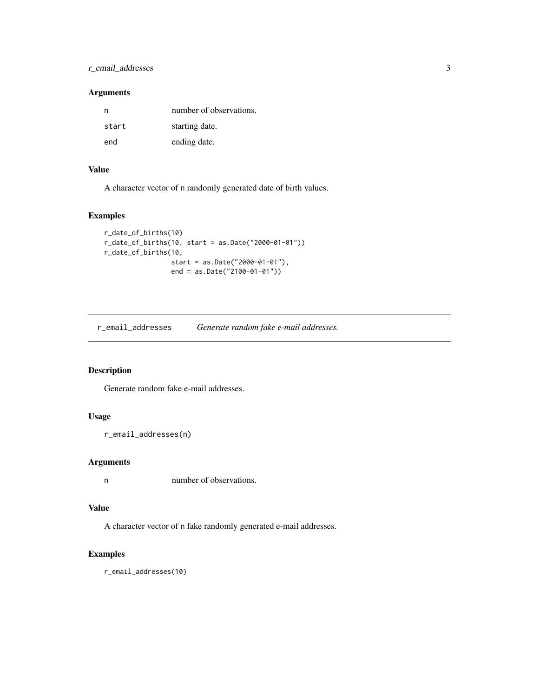#### <span id="page-2-0"></span>r\_email\_addresses 3

#### Arguments

| n     | number of observations. |
|-------|-------------------------|
| start | starting date.          |
| end   | ending date.            |

#### Value

A character vector of n randomly generated date of birth values.

#### Examples

```
r_date_of_births(10)
r_date_of_births(10, start = as.Date("2000-01-01"))
r_date_of_births(10,
                 start = as.Date("2000-01-01"),
                 end = as.Date("2100-01-01"))
```
r\_email\_addresses *Generate random fake e-mail addresses.*

#### Description

Generate random fake e-mail addresses.

#### Usage

```
r_email_addresses(n)
```
#### Arguments

n number of observations.

#### Value

A character vector of n fake randomly generated e-mail addresses.

#### Examples

r\_email\_addresses(10)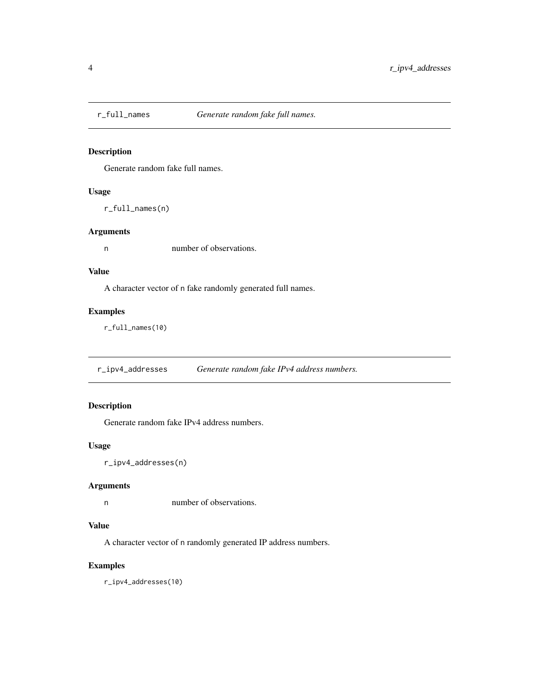<span id="page-3-0"></span>

#### Description

Generate random fake full names.

#### Usage

r\_full\_names(n)

#### Arguments

n number of observations.

#### Value

A character vector of n fake randomly generated full names.

#### Examples

r\_full\_names(10)

r\_ipv4\_addresses *Generate random fake IPv4 address numbers.*

#### Description

Generate random fake IPv4 address numbers.

#### Usage

r\_ipv4\_addresses(n)

#### Arguments

n number of observations.

#### Value

A character vector of n randomly generated IP address numbers.

#### Examples

r\_ipv4\_addresses(10)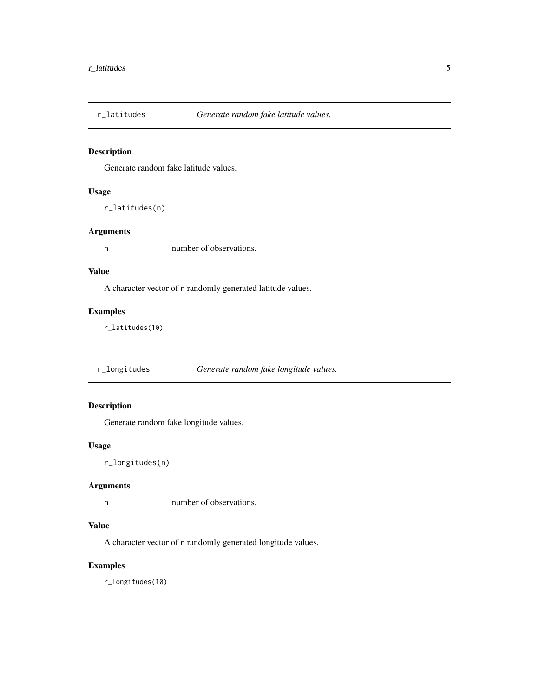<span id="page-4-0"></span>

#### Description

Generate random fake latitude values.

#### Usage

```
r_latitudes(n)
```
#### Arguments

n number of observations.

#### Value

A character vector of n randomly generated latitude values.

#### Examples

r\_latitudes(10)

r\_longitudes *Generate random fake longitude values.*

#### Description

Generate random fake longitude values.

#### Usage

r\_longitudes(n)

#### Arguments

n number of observations.

#### Value

A character vector of n randomly generated longitude values.

#### Examples

r\_longitudes(10)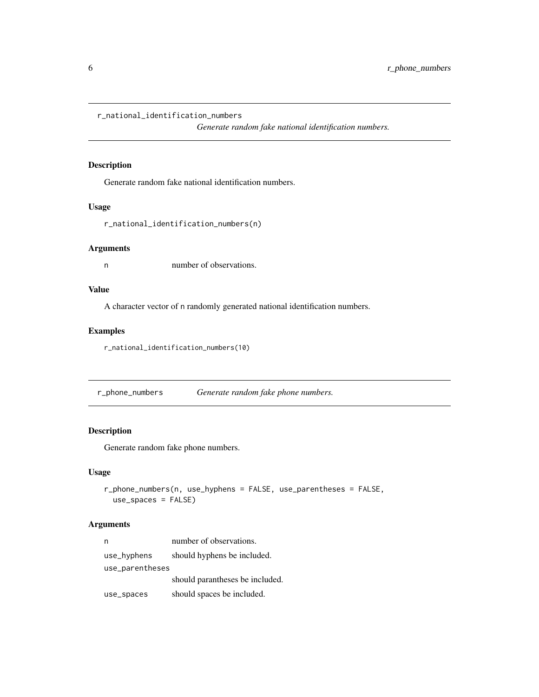<span id="page-5-0"></span>r\_national\_identification\_numbers

*Generate random fake national identification numbers.*

#### Description

Generate random fake national identification numbers.

#### Usage

r\_national\_identification\_numbers(n)

#### Arguments

n number of observations.

#### Value

A character vector of n randomly generated national identification numbers.

#### Examples

r\_national\_identification\_numbers(10)

r\_phone\_numbers *Generate random fake phone numbers.*

#### Description

Generate random fake phone numbers.

#### Usage

```
r_phone_numbers(n, use_hyphens = FALSE, use_parentheses = FALSE,
 use_spaces = FALSE)
```
#### Arguments

|                 | number of observations.         |
|-----------------|---------------------------------|
| use_hyphens     | should hyphens be included.     |
| use_parentheses |                                 |
|                 | should parantheses be included. |
| use_spaces      | should spaces be included.      |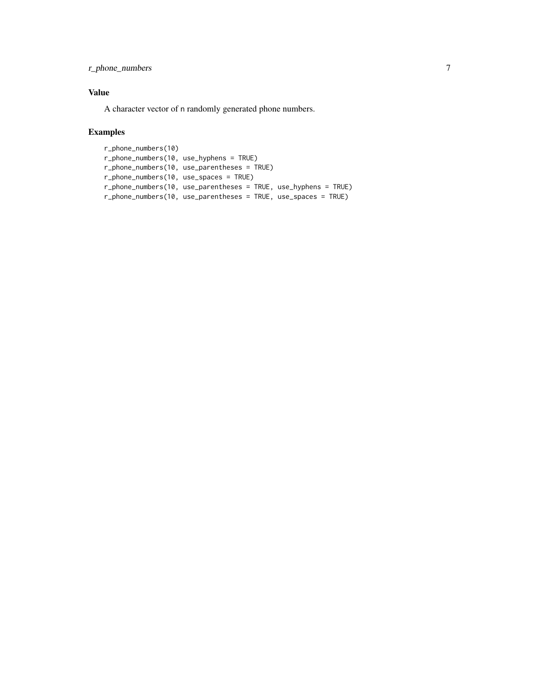#### r\_phone\_numbers 7

#### Value

A character vector of n randomly generated phone numbers.

#### Examples

```
r_phone_numbers(10)
r_phone_numbers(10, use_hyphens = TRUE)
r_phone_numbers(10, use_parentheses = TRUE)
r_phone_numbers(10, use_spaces = TRUE)
r_phone_numbers(10, use_parentheses = TRUE, use_hyphens = TRUE)
r_phone_numbers(10, use_parentheses = TRUE, use_spaces = TRUE)
```